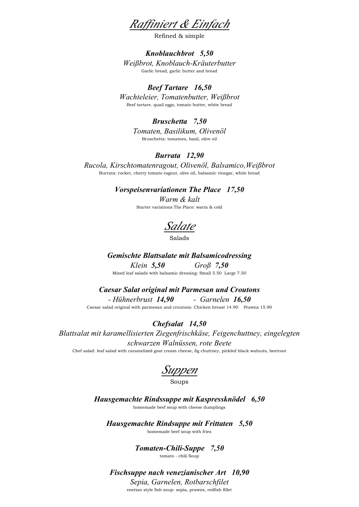Raffiniert & Einfach

Refined & simple

### Knoblauchbrot 5,50 Weißbrot, Knoblauch-Kräuterbutter Garlic bread, garlic butter and bread

## Beef Tartare 16,50

Wachteleier, Tomatenbutter, Weißbrot Beef tartare. quail eggs, tomato butter, white bread

## Bruschetta 7,50

Tomaten, Basilikum, Olivenöl Bruschetta: tomatoes, basil, olive oil

### Burrata 12,90

Rucola, Kirschtomatenragout, Olivenöl, Balsamico,Weißbrot Burrata: rocket, cherry tomato ragout, olive oil, balsamic vinegar, white bread

### Vorspeisenvariationen The Place 17,50

Warm & kalt Starter variations The Place: warm & cold

Salate

Salads

Gemischte Blattsalate mit Balsamicodressing Klein 5,50 Groß 7,50 Mixed leaf salads with balsamic dressing: Small 5.50 Large 7.50

Caesar Salat original mit Parmesan und Croutons

- Hühnerbrust 14,90 - Garnelen 16,50 Caesar salad original with parmesan and croutons: Chicken breast 14.90 Prawns 15.90

## Chefsalat 14,50

Blattsalat mit karamellisierten Ziegenfrischkäse, Feigenchuttney, eingelegten schwarzen Walnüssen, rote Beete

Chef salad: leaf salad with caramelized goat cream cheese, fig chuttney, pickled black walnuts, beetroot

Suppen

#### Soups

Hausgemachte Rindssuppe mit Kaspressknödel 6,50 homemade beef soup with cheese dumplings

Hausgemachte Rindsuppe mit Frittaten 5,50 homemade beef soup with fries

> Tomaten-Chili-Suppe 7,50 tomato - chili Soup

Fischsuppe nach venezianischer Art 10,90

Sepia, Garnelen, Rotbarschfilet enetian style fish soup: sepia, prawns, redfish fillet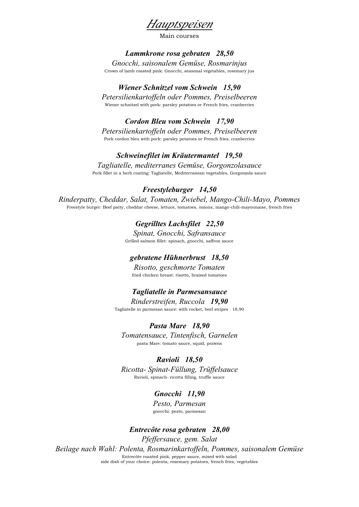

Main courses

### Lammkrone rosa gebraten 28,50

Gnocchi, saisonalem Gemüse, Rosmarinjus

Crown of lamb roasted pink: Gnocchi, seasonal vegetables, rosemary jus

## Wiener Schnitzel vom Schwein 15,90

Petersilienkartoffeln oder Pommes, Preiselbeeren Wiener schnitzel with pork: parsley potatoes or French fries, cranberries

Cordon Bleu vom Schwein 17,90

Petersilienkartoffeln oder Pommes, Preiselbeeren Pork cordon bleu with pork: parsley potatoes or French fries, cranberries

### Schweinefilet im Kräutermantel 19,50

Tagliatelle, mediterranes Gemüse, Gorgonzolasauce Pork fillet in a herb coating: Tagliatelle, Mediterranean vegetables, Gorgonzola sauce

### Freestyleburger 14,50

Rinderpatty, Cheddar, Salat, Tomaten, Zwiebel, Mango-Chili-Mayo, Pommes Freestyle burger: Beef patty, cheddar cheese, lettuce, tomatoes, onions, mango-chili-mayonnaise, french fries

> Gegrilltes Lachsfilet 22,50 Spinat, Gnocchi, Safransauce Grilled salmon fillet: spinach, gnocchi, saffron sauce

## gebratene Hühnerbrust 18,50

Risotto, geschmorte Tomaten fried chicken breast: risotto, braised tomatoes

### Tagliatelle in Parmesansauce

Rinderstreifen, Ruccola 19,90 Tagliatelle in parmesan sauce: with rocket, beef stripes 18,90

Pasta Mare 18,90

Tomatensauce, Tintenfisch, Garnelen pasta Mare: tomato sauce, squid, prawns

### Ravioli 18,50

Ricotta- Spinat-Füllung, Trüffelsauce Ravioli, spinach- ricotta filling, truffle sauce

## Gnocchi 11,90

Pesto, Parmesan gnocchi: pesto, parmesan

Entrecôte rosa gebraten 28,00 Pfeffersauce, gem. Salat Beilage nach Wahl: Polenta, Rosmarinkartoffeln, Pommes, saisonalem Gemüse Entrecôte roasted pink, pepper sauce, mixed with salad side dish of your choice: polenta, rosemary potatoes, french fries, vegetables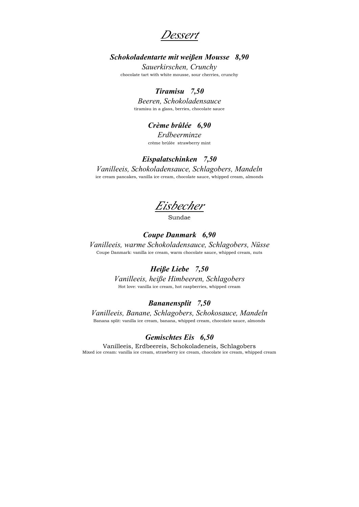Dessert

## Schokoladentarte mit weißen Mousse 8,90

Sauerkirschen, Crunchy chocolate tart with white mousse, sour cherries, crunchy

## Tiramisu 7,50

Beeren, Schokoladensauce tiramisu in a glass, berries, chocolate sauce

## Crème brûlée 6,90

Erdbeerminze crème brûlée strawberry mint

### Eispalatschinken 7,50

Vanilleeis, Schokoladensauce, Schlagobers, Mandeln ice cream pancakes, vanilla ice cream, chocolate sauce, whipped cream, almonds

Eisbecher

Sundae

# Coupe Danmark 6,90

Vanilleeis, warme Schokoladensauce, Schlagobers, Nüsse Coupe Danmark: vanilla ice cream, warm chocolate sauce, whipped cream, nuts

#### Heiße Liebe 7,50

Vanilleeis, heiße Himbeeren, Schlagobers Hot love: vanilla ice cream, hot raspberries, whipped cream

## Bananensplit 7,50

Vanilleeis, Banane, Schlagobers, Schokosauce, Mandeln Banana split: vanilla ice cream, banana, whipped cream, chocolate sauce, almonds

#### Gemischtes Eis 6,50

Vanilleeis, Erdbeereis, Schokoladeneis, Schlagobers Mixed ice cream: vanilla ice cream, strawberry ice cream, chocolate ice cream, whipped cream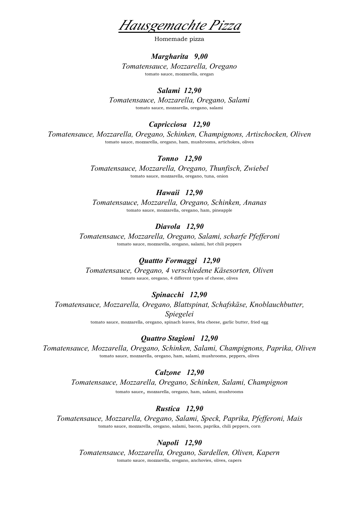Hausgemachte Pizza

Homemade pizza

#### Margharita 9,00

Tomatensauce, Mozzarella, Oregano tomato sauce, mozzarella, oregan

## Salami 12,90

Tomatensauce, Mozzarella, Oregano, Salami tomato sauce, mozzarella, oregano, salami

### Capricciosa 12,90

Tomatensauce, Mozzarella, Oregano, Schinken, Champignons, Artischocken, Oliven tomato sauce, mozzarella, oregano, ham, mushrooms, artichokes, olives

### Tonno 12,90

Tomatensauce, Mozzarella, Oregano, Thunfisch, Zwiebel tomato sauce, mozzarella, oregano, tuna, onion

### Hawaii 12,90

Tomatensauce, Mozzarella, Oregano, Schinken, Ananas tomato sauce, mozzarella, oregano, ham, pineapple

## Diavola 12,90

Tomatensauce, Mozzarella, Oregano, Salami, scharfe Pfefferoni tomato sauce, mozzarella, oregano, salami, hot chili peppers

## Quattto Formaggi 12,90

Tomatensauce, Oregano, 4 verschiedene Käsesorten, Oliven tomato sauce, oregano, 4 different types of cheese, olives

### Spinacchi 12,90

Tomatensauce, Mozzarella, Oregano, Blattspinat, Schafskäse, Knoblauchbutter, Spiegelei

tomato sauce, mozzarella, oregano, spinach leaves, feta cheese, garlic butter, fried egg

### Quattro Stagioni 12,90

Tomatensauce, Mozzarella, Oregano, Schinken, Salami, Champignons, Paprika, Oliven tomato sauce, mozzarella, oregano, ham, salami, mushrooms, peppers, olives

Calzone 12,90 Tomatensauce, Mozzarella, Oregano, Schinken, Salami, Champignon tomato sauce, mozzarella, oregano, ham, salami, mushrooms

### Rustica 12,90

Tomatensauce, Mozzarella, Oregano, Salami, Speck, Paprika, Pfefferoni, Mais tomato sauce, mozzarella, oregano, salami, bacon, paprika, chili peppers, corn

### Napoli 12,90

Tomatensauce, Mozzarella, Oregano, Sardellen, Oliven, Kapern tomato sauce, mozzarella, oregano, anchovies, olives, capers